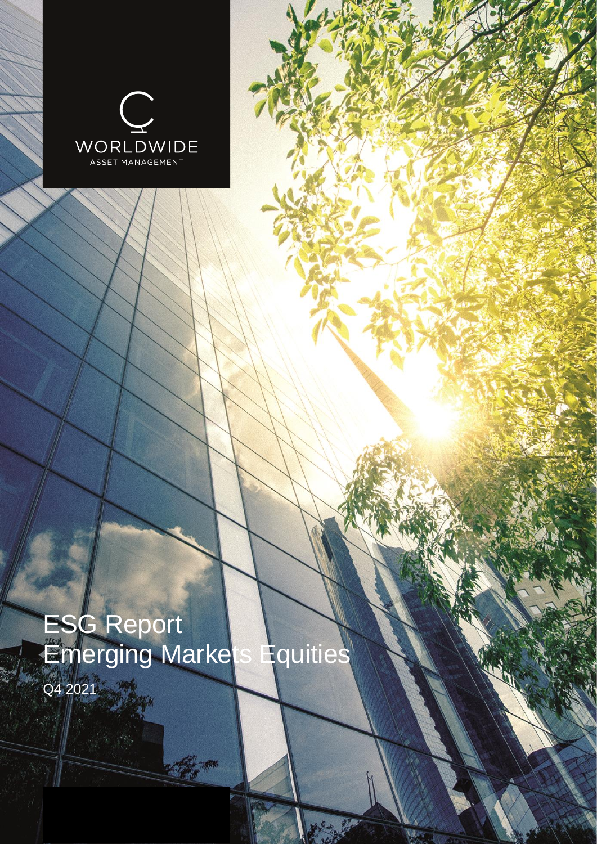

# ESG Report Emerging Markets Equities

Q4 2021

C.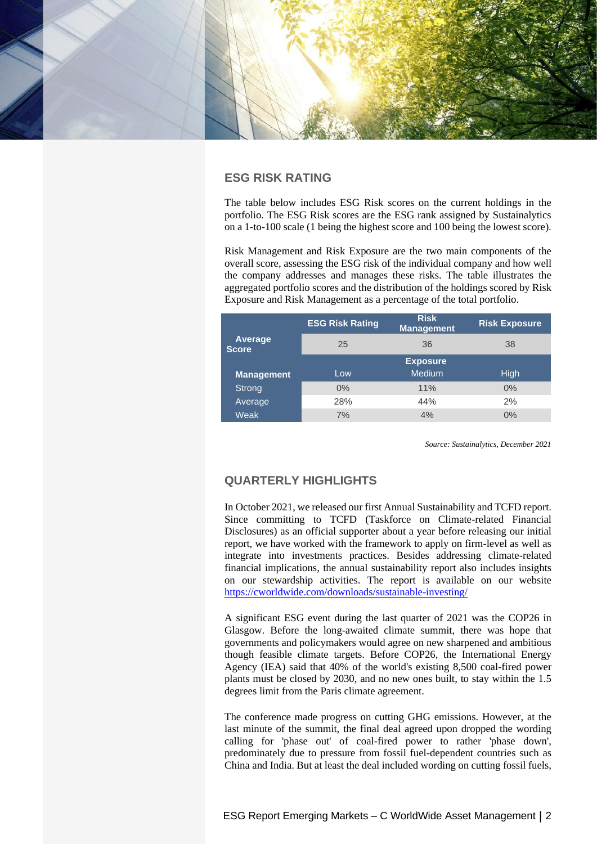

# **ESG RISK RATING**

The table below includes ESG Risk scores on the current holdings in the portfolio. The ESG Risk scores are the ESG rank assigned by Sustainalytics on a 1-to-100 scale (1 being the highest score and 100 being the lowest score).

Risk Management and Risk Exposure are the two main components of the overall score, assessing the ESG risk of the individual company and how well the company addresses and manages these risks. The table illustrates the aggregated portfolio scores and the distribution of the holdings scored by Risk Exposure and Risk Management as a percentage of the total portfolio.

|                         | <b>ESG Risk Rating</b> | <b>Risk</b><br><b>Management</b> | <b>Risk Exposure</b> |  |  |
|-------------------------|------------------------|----------------------------------|----------------------|--|--|
| Average<br><b>Score</b> | 25                     | 36                               | 38                   |  |  |
|                         |                        | <b>Exposure</b>                  |                      |  |  |
| <b>Management</b>       | Low                    | <b>Medium</b>                    | High                 |  |  |
| Strong                  | $0\%$                  | 11%                              | 0%                   |  |  |
| Average                 | 28%                    | 44%                              | 2%                   |  |  |
| Weak                    | 7%                     | 4%                               | 0%                   |  |  |

*Source: Sustainalytics, December 2021*

# **QUARTERLY HIGHLIGHTS**

In October 2021, we released our first Annual Sustainability and TCFD report. Since committing to TCFD (Taskforce on Climate-related Financial Disclosures) as an official supporter about a year before releasing our initial report, we have worked with the framework to apply on firm-level as well as integrate into investments practices. Besides addressing climate-related financial implications, the annual sustainability report also includes insights on our stewardship activities. The report is available on our website <https://cworldwide.com/downloads/sustainable-investing/>

A significant ESG event during the last quarter of 2021 was the COP26 in Glasgow. Before the long-awaited climate summit, there was hope that governments and policymakers would agree on new sharpened and ambitious though feasible climate targets. Before COP26, the International Energy Agency (IEA) said that 40% of the world's existing 8,500 coal-fired power plants must be closed by 2030, and no new ones built, to stay within the 1.5 degrees limit from the Paris climate agreement.

The conference made progress on cutting GHG emissions. However, at the last minute of the summit, the final deal agreed upon dropped the wording calling for 'phase out' of coal-fired power to rather 'phase down', predominately due to pressure from fossil fuel-dependent countries such as China and India. But at least the deal included wording on cutting fossil fuels,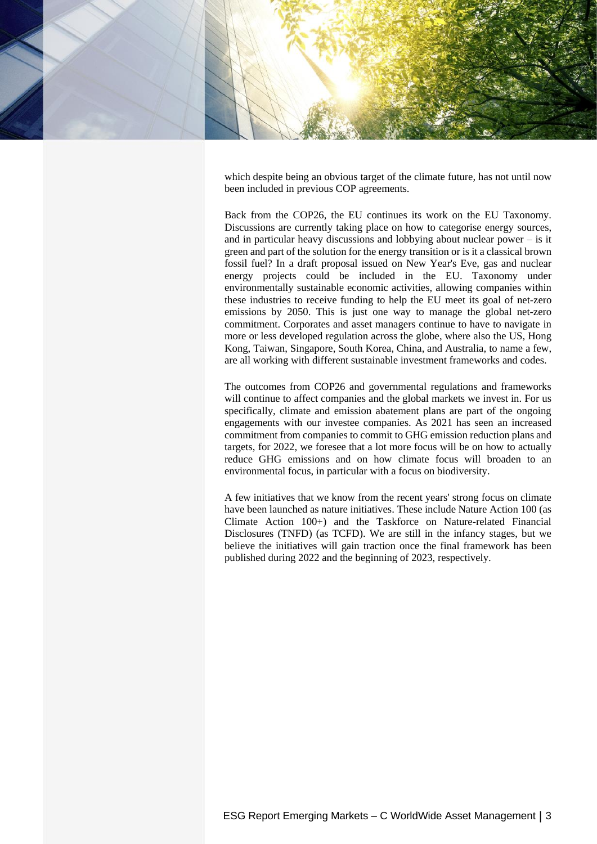

which despite being an obvious target of the climate future, has not until now been included in previous COP agreements.

Back from the COP26, the EU continues its work on the EU Taxonomy. Discussions are currently taking place on how to categorise energy sources, and in particular heavy discussions and lobbying about nuclear power – is it green and part of the solution for the energy transition or is it a classical brown fossil fuel? In a draft proposal issued on New Year's Eve, gas and nuclear energy projects could be included in the EU. Taxonomy under environmentally sustainable economic activities, allowing companies within these industries to receive funding to help the EU meet its goal of net-zero emissions by 2050. This is just one way to manage the global net-zero commitment. Corporates and asset managers continue to have to navigate in more or less developed regulation across the globe, where also the US, Hong Kong, Taiwan, Singapore, South Korea, China, and Australia, to name a few, are all working with different sustainable investment frameworks and codes.

The outcomes from COP26 and governmental regulations and frameworks will continue to affect companies and the global markets we invest in. For us specifically, climate and emission abatement plans are part of the ongoing engagements with our investee companies. As 2021 has seen an increased commitment from companies to commit to GHG emission reduction plans and targets, for 2022, we foresee that a lot more focus will be on how to actually reduce GHG emissions and on how climate focus will broaden to an environmental focus, in particular with a focus on biodiversity.

A few initiatives that we know from the recent years' strong focus on climate have been launched as nature initiatives. These include Nature Action 100 (as Climate Action 100+) and the Taskforce on Nature-related Financial Disclosures (TNFD) (as TCFD). We are still in the infancy stages, but we believe the initiatives will gain traction once the final framework has been published during 2022 and the beginning of 2023, respectively.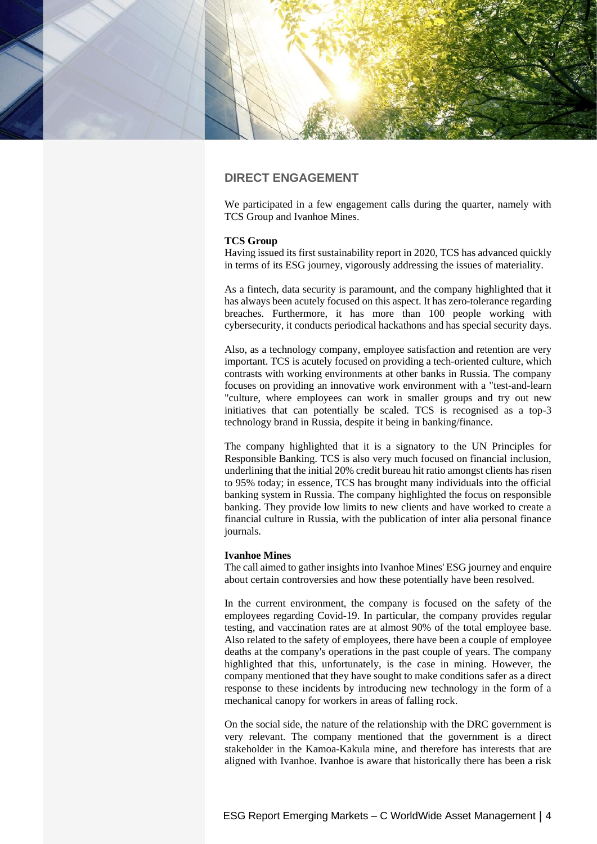

# **DIRECT ENGAGEMENT**

We participated in a few engagement calls during the quarter, namely with TCS Group and Ivanhoe Mines.

## **TCS Group**

Having issued its first sustainability report in 2020, TCS has advanced quickly in terms of its ESG journey, vigorously addressing the issues of materiality.

As a fintech, data security is paramount, and the company highlighted that it has always been acutely focused on this aspect. It has zero-tolerance regarding breaches. Furthermore, it has more than 100 people working with cybersecurity, it conducts periodical hackathons and has special security days.

Also, as a technology company, employee satisfaction and retention are very important. TCS is acutely focused on providing a tech-oriented culture, which contrasts with working environments at other banks in Russia. The company focuses on providing an innovative work environment with a "test-and-learn "culture, where employees can work in smaller groups and try out new initiatives that can potentially be scaled. TCS is recognised as a top-3 technology brand in Russia, despite it being in banking/finance.

The company highlighted that it is a signatory to the UN Principles for Responsible Banking. TCS is also very much focused on financial inclusion, underlining that the initial 20% credit bureau hit ratio amongst clients has risen to 95% today; in essence, TCS has brought many individuals into the official banking system in Russia. The company highlighted the focus on responsible banking. They provide low limits to new clients and have worked to create a financial culture in Russia, with the publication of inter alia personal finance journals.

#### **Ivanhoe Mines**

The call aimed to gather insights into Ivanhoe Mines' ESG journey and enquire about certain controversies and how these potentially have been resolved.

In the current environment, the company is focused on the safety of the employees regarding Covid-19. In particular, the company provides regular testing, and vaccination rates are at almost 90% of the total employee base. Also related to the safety of employees, there have been a couple of employee deaths at the company's operations in the past couple of years. The company highlighted that this, unfortunately, is the case in mining. However, the company mentioned that they have sought to make conditions safer as a direct response to these incidents by introducing new technology in the form of a mechanical canopy for workers in areas of falling rock.

On the social side, the nature of the relationship with the DRC government is very relevant. The company mentioned that the government is a direct stakeholder in the Kamoa-Kakula mine, and therefore has interests that are aligned with Ivanhoe. Ivanhoe is aware that historically there has been a risk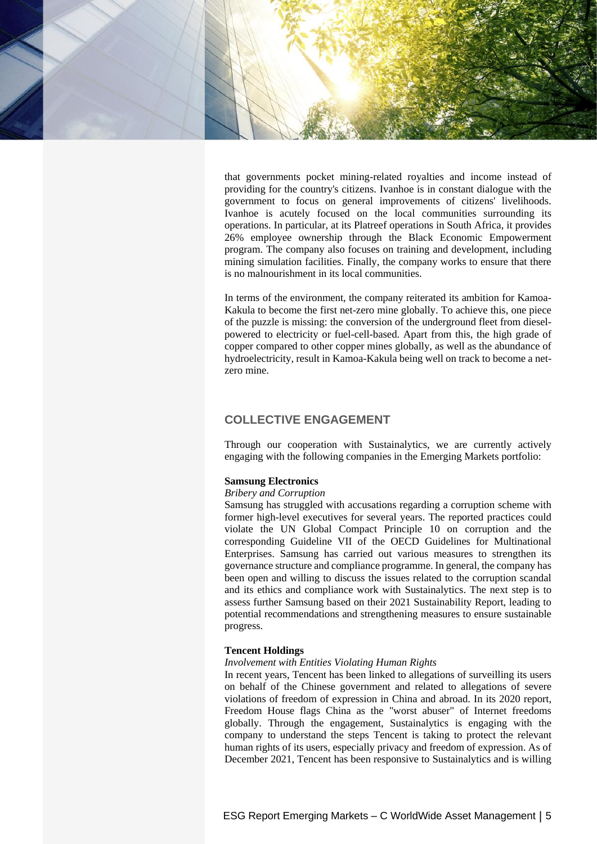

that governments pocket mining-related royalties and income instead of providing for the country's citizens. Ivanhoe is in constant dialogue with the government to focus on general improvements of citizens' livelihoods. Ivanhoe is acutely focused on the local communities surrounding its operations. In particular, at its Platreef operations in South Africa, it provides 26% employee ownership through the Black Economic Empowerment program. The company also focuses on training and development, including mining simulation facilities. Finally, the company works to ensure that there is no malnourishment in its local communities.

In terms of the environment, the company reiterated its ambition for Kamoa-Kakula to become the first net-zero mine globally. To achieve this, one piece of the puzzle is missing: the conversion of the underground fleet from dieselpowered to electricity or fuel-cell-based. Apart from this, the high grade of copper compared to other copper mines globally, as well as the abundance of hydroelectricity, result in Kamoa-Kakula being well on track to become a netzero mine.

## **COLLECTIVE ENGAGEMENT**

Through our cooperation with Sustainalytics, we are currently actively engaging with the following companies in the Emerging Markets portfolio:

## **Samsung Electronics**

#### *Bribery and Corruption*

Samsung has struggled with accusations regarding a corruption scheme with former high-level executives for several years. The reported practices could violate the UN Global Compact Principle 10 on corruption and the corresponding Guideline VII of the OECD Guidelines for Multinational Enterprises. Samsung has carried out various measures to strengthen its governance structure and compliance programme. In general, the company has been open and willing to discuss the issues related to the corruption scandal and its ethics and compliance work with Sustainalytics. The next step is to assess further Samsung based on their 2021 Sustainability Report, leading to potential recommendations and strengthening measures to ensure sustainable progress.

#### **Tencent Holdings**

#### *Involvement with Entities Violating Human Rights*

In recent years, Tencent has been linked to allegations of surveilling its users on behalf of the Chinese government and related to allegations of severe violations of freedom of expression in China and abroad. In its 2020 report, Freedom House flags China as the "worst abuser" of Internet freedoms globally. Through the engagement, Sustainalytics is engaging with the company to understand the steps Tencent is taking to protect the relevant human rights of its users, especially privacy and freedom of expression. As of December 2021, Tencent has been responsive to Sustainalytics and is willing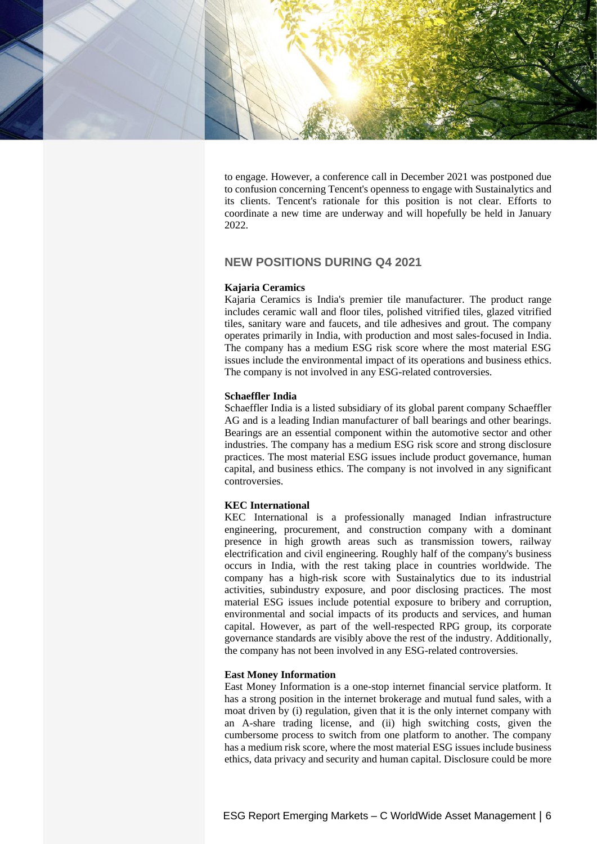

to engage. However, a conference call in December 2021 was postponed due to confusion concerning Tencent's openness to engage with Sustainalytics and its clients. Tencent's rationale for this position is not clear. Efforts to coordinate a new time are underway and will hopefully be held in January 2022.

# **NEW POSITIONS DURING Q4 2021**

## **Kajaria Ceramics**

Kajaria Ceramics is India's premier tile manufacturer. The product range includes ceramic wall and floor tiles, polished vitrified tiles, glazed vitrified tiles, sanitary ware and faucets, and tile adhesives and grout. The company operates primarily in India, with production and most sales-focused in India. The company has a medium ESG risk score where the most material ESG issues include the environmental impact of its operations and business ethics. The company is not involved in any ESG-related controversies.

## **Schaeffler India**

Schaeffler India is a listed subsidiary of its global parent company Schaeffler AG and is a leading Indian manufacturer of ball bearings and other bearings. Bearings are an essential component within the automotive sector and other industries. The company has a medium ESG risk score and strong disclosure practices. The most material ESG issues include product governance, human capital, and business ethics. The company is not involved in any significant controversies.

## **KEC International**

KEC International is a professionally managed Indian infrastructure engineering, procurement, and construction company with a dominant presence in high growth areas such as transmission towers, railway electrification and civil engineering. Roughly half of the company's business occurs in India, with the rest taking place in countries worldwide. The company has a high-risk score with Sustainalytics due to its industrial activities, subindustry exposure, and poor disclosing practices. The most material ESG issues include potential exposure to bribery and corruption, environmental and social impacts of its products and services, and human capital. However, as part of the well-respected RPG group, its corporate governance standards are visibly above the rest of the industry. Additionally, the company has not been involved in any ESG-related controversies.

#### **East Money Information**

East Money Information is a one-stop internet financial service platform. It has a strong position in the internet brokerage and mutual fund sales, with a moat driven by (i) regulation, given that it is the only internet company with an A-share trading license, and (ii) high switching costs, given the cumbersome process to switch from one platform to another. The company has a medium risk score, where the most material ESG issues include business ethics, data privacy and security and human capital. Disclosure could be more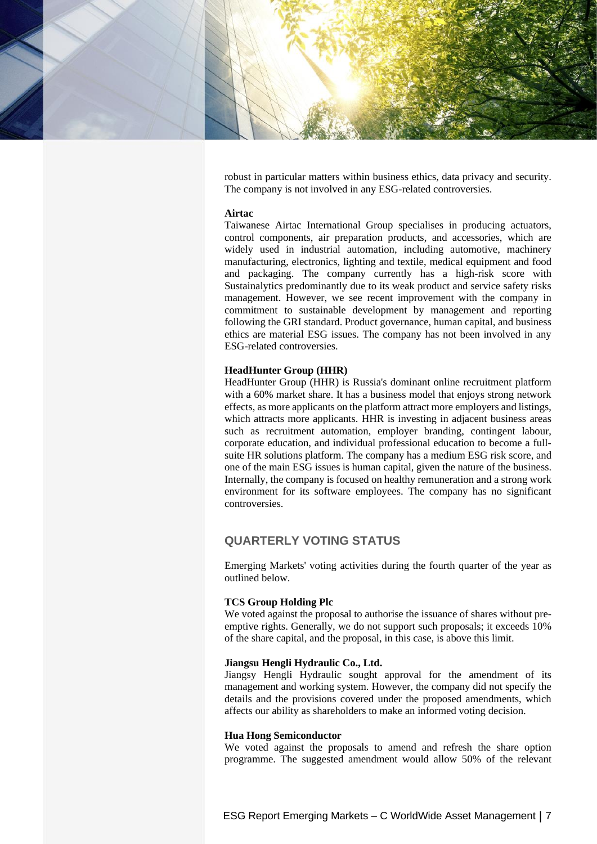

robust in particular matters within business ethics, data privacy and security. The company is not involved in any ESG-related controversies.

#### **Airtac**

Taiwanese Airtac International Group specialises in producing actuators, control components, air preparation products, and accessories, which are widely used in industrial automation, including automotive, machinery manufacturing, electronics, lighting and textile, medical equipment and food and packaging. The company currently has a high-risk score with Sustainalytics predominantly due to its weak product and service safety risks management. However, we see recent improvement with the company in commitment to sustainable development by management and reporting following the GRI standard. Product governance, human capital, and business ethics are material ESG issues. The company has not been involved in any ESG-related controversies.

#### **HeadHunter Group (HHR)**

HeadHunter Group (HHR) is Russia's dominant online recruitment platform with a 60% market share. It has a business model that enjoys strong network effects, as more applicants on the platform attract more employers and listings, which attracts more applicants. HHR is investing in adjacent business areas such as recruitment automation, employer branding, contingent labour, corporate education, and individual professional education to become a fullsuite HR solutions platform. The company has a medium ESG risk score, and one of the main ESG issues is human capital, given the nature of the business. Internally, the company is focused on healthy remuneration and a strong work environment for its software employees. The company has no significant controversies.

## **QUARTERLY VOTING STATUS**

Emerging Markets' voting activities during the fourth quarter of the year as outlined below.

## **TCS Group Holding Plc**

We voted against the proposal to authorise the issuance of shares without preemptive rights. Generally, we do not support such proposals; it exceeds 10% of the share capital, and the proposal, in this case, is above this limit.

#### **Jiangsu Hengli Hydraulic Co., Ltd.**

Jiangsy Hengli Hydraulic sought approval for the amendment of its management and working system. However, the company did not specify the details and the provisions covered under the proposed amendments, which affects our ability as shareholders to make an informed voting decision.

#### **Hua Hong Semiconductor**

We voted against the proposals to amend and refresh the share option programme. The suggested amendment would allow 50% of the relevant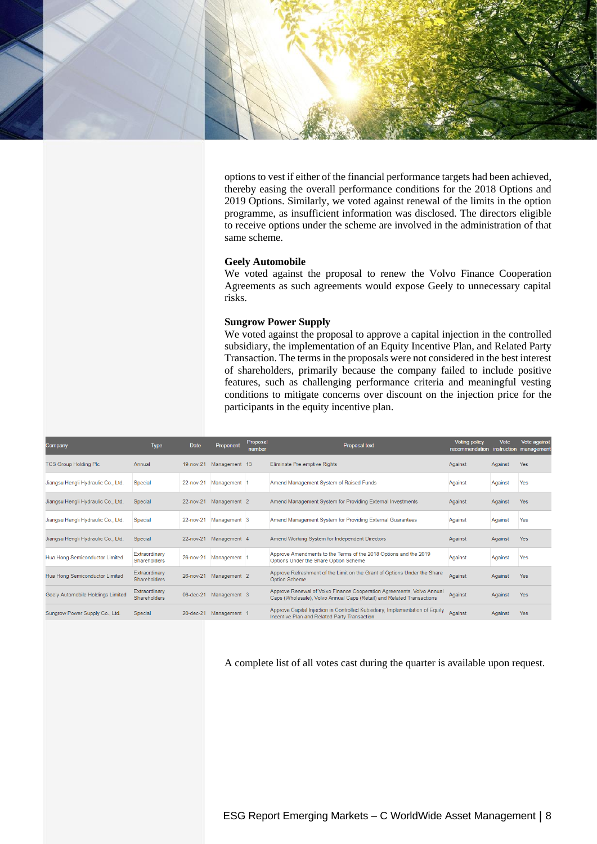

options to vest if either of the financial performance targets had been achieved, thereby easing the overall performance conditions for the 2018 Options and 2019 Options. Similarly, we voted against renewal of the limits in the option programme, as insufficient information was disclosed. The directors eligible to receive options under the scheme are involved in the administration of that same scheme.

#### **Geely Automobile**

We voted against the proposal to renew the Volvo Finance Cooperation Agreements as such agreements would expose Geely to unnecessary capital risks.

#### **Sungrow Power Supply**

We voted against the proposal to approve a capital injection in the controlled subsidiary, the implementation of an Equity Incentive Plan, and Related Party Transaction. The terms in the proposals were not considered in the best interest of shareholders, primarily because the company failed to include positive features, such as challenging performance criteria and meaningful vesting conditions to mitigate concerns over discount on the injection price for the participants in the equity incentive plan.

| Company                            | Type                                 | Date      | Proponent               | Proposal<br>number | <b>Proposal text</b>                                                                                                                           | <b>Voting policy</b><br>recommendation | Vote    | Vote against<br>instruction management |
|------------------------------------|--------------------------------------|-----------|-------------------------|--------------------|------------------------------------------------------------------------------------------------------------------------------------------------|----------------------------------------|---------|----------------------------------------|
| <b>TCS Group Holding PIc</b>       | Annual                               |           | 19-nov-21 Management 13 |                    | Eliminate Pre-emptive Rights                                                                                                                   | Against                                | Against | <b>Yes</b>                             |
| Jiangsu Hengli Hydraulic Co., Ltd. | Special                              | 22-nov-21 | Management 1            |                    | Amend Management System of Raised Funds                                                                                                        | Against                                | Against | Yes                                    |
| Jiangsu Hengli Hydraulic Co., Ltd. | Special                              | 22-nov-21 | Management <sub>2</sub> |                    | Amend Management System for Providing External Investments                                                                                     | Against                                | Against | <b>Yes</b>                             |
| Jiangsu Hengli Hydraulic Co., Ltd. | Special                              | 22-nov-21 | Management <sub>3</sub> |                    | Amend Management System for Providing External Guarantees                                                                                      | Against                                | Against | Yes                                    |
| Jiangsu Hengli Hydraulic Co., Ltd. | Special                              | 22-nov-21 | Management 4            |                    | Amend Working System for Independent Directors                                                                                                 | Against                                | Against | <b>Yes</b>                             |
| Hua Hong Semiconductor Limited     | Extraordinary<br><b>Shareholders</b> | 26-nov-21 | Management              |                    | Approve Amendments to the Terms of the 2018 Options and the 2019<br>Options Under the Share Option Scheme                                      | Against                                | Against | Yes                                    |
| Hua Hong Semiconductor Limited     | Extraordinary<br><b>Shareholders</b> | 26-nov-21 | Management <sub>2</sub> |                    | Approve Refreshment of the Limit on the Grant of Options Under the Share<br><b>Option Scheme</b>                                               | Against                                | Against | <b>Yes</b>                             |
| Geely Automobile Holdings Limited  | Extraordinary<br><b>Shareholders</b> | 06-dec-21 | Management 3            |                    | Approve Renewal of Volvo Finance Cooperation Agreements, Volvo Annual<br>Caps (Wholesale), Volvo Annual Caps (Retail) and Related Transactions | Against                                | Against | <b>Yes</b>                             |
| Sungrow Power Supply Co., Ltd.     | Special                              | 20-dec-21 | Management 1            |                    | Approve Capital Injection in Controlled Subsidiary, Implementation of Equity<br>Incentive Plan and Related Party Transaction                   | Against                                | Against | <b>Yes</b>                             |

A complete list of all votes cast during the quarter is available upon request.